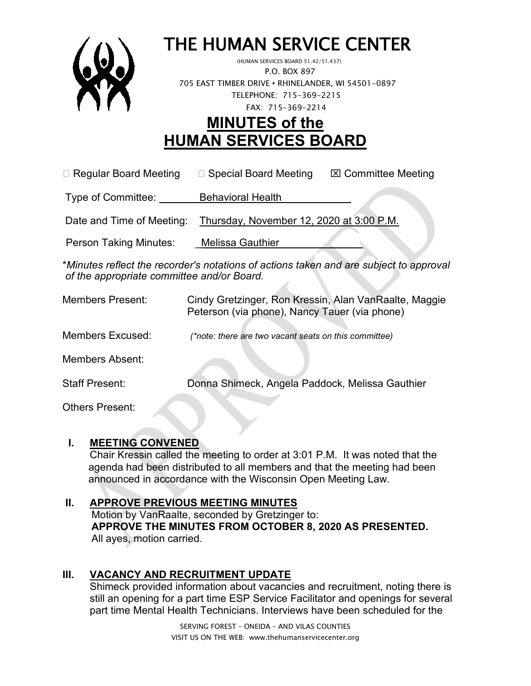

# THE HUMAN SERVICE CENTER (HUMAN SERVICES BOARD 51.42/51.437)

 P.O. BOX 897 705 EAST TIMBER DRIVE **•** RHINELANDER, WI 54501-0897 TELEPHONE: 715-369-2215 FAX: 715-369-2214

# **MINUTES of the HUMAN SERVICES BOARD**

 $\Box$  Regular Board Meeting  $\Box$  Special Board Meeting  $\Box$  Committee Meeting

Type of Committee: Behavioral Health

Date and Time of Meeting: Thursday, November 12, 2020 at 3:00 P.M.

Person Taking Minutes: Melissa Gauthier

\**Minutes reflect the recorder's notations of actions taken and are subject to approval of the appropriate committee and/or Board.*

| <b>Members Present:</b> | Cindy Gretzinger, Ron Kressin, Alan VanRaalte, Maggie<br>Peterson (via phone), Nancy Tauer (via phone) |
|-------------------------|--------------------------------------------------------------------------------------------------------|
| <b>Members Excused:</b> | (*note: there are two vacant seats on this committee)                                                  |
| <b>Members Absent:</b>  |                                                                                                        |
| <b>Staff Present:</b>   | Donna Shimeck, Angela Paddock, Melissa Gauthier                                                        |
| <b>Others Present:</b>  |                                                                                                        |

### **I. MEETING CONVENED**

Chair Kressin called the meeting to order at 3:01 P.M. It was noted that the agenda had been distributed to all members and that the meeting had been announced in accordance with the Wisconsin Open Meeting Law.

# **II. APPROVE PREVIOUS MEETING MINUTES**

 Motion by VanRaalte, seconded by Gretzinger to:  **APPROVE THE MINUTES FROM OCTOBER 8, 2020 AS PRESENTED.** All ayes, motion carried.

# **III. VACANCY AND RECRUITMENT UPDATE**

Shimeck provided information about vacancies and recruitment, noting there is still an opening for a part time ESP Service Facilitator and openings for several part time Mental Health Technicians. Interviews have been scheduled for the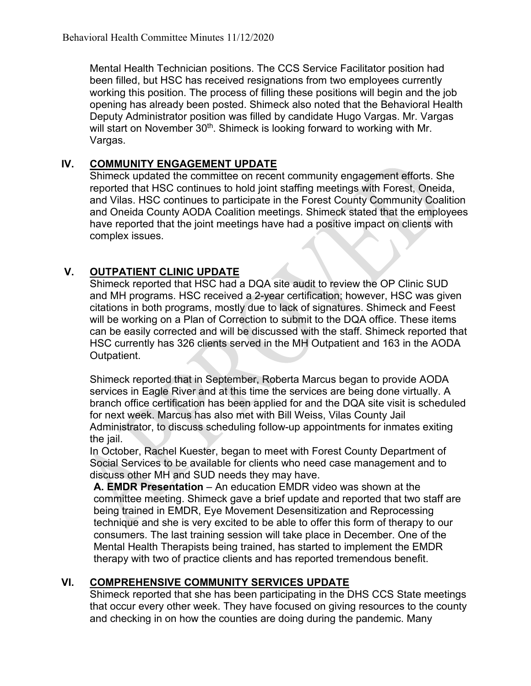Mental Health Technician positions. The CCS Service Facilitator position had been filled, but HSC has received resignations from two employees currently working this position. The process of filling these positions will begin and the job opening has already been posted. Shimeck also noted that the Behavioral Health Deputy Administrator position was filled by candidate Hugo Vargas. Mr. Vargas will start on November 30<sup>th</sup>. Shimeck is looking forward to working with Mr. Vargas.

### **IV. COMMUNITY ENGAGEMENT UPDATE**

Shimeck updated the committee on recent community engagement efforts. She reported that HSC continues to hold joint staffing meetings with Forest, Oneida, and Vilas. HSC continues to participate in the Forest County Community Coalition and Oneida County AODA Coalition meetings. Shimeck stated that the employees have reported that the joint meetings have had a positive impact on clients with complex issues.

#### **V. OUTPATIENT CLINIC UPDATE**

Shimeck reported that HSC had a DQA site audit to review the OP Clinic SUD and MH programs. HSC received a 2-year certification; however, HSC was given citations in both programs, mostly due to lack of signatures. Shimeck and Feest will be working on a Plan of Correction to submit to the DQA office. These items can be easily corrected and will be discussed with the staff. Shimeck reported that HSC currently has 326 clients served in the MH Outpatient and 163 in the AODA Outpatient.

Shimeck reported that in September, Roberta Marcus began to provide AODA services in Eagle River and at this time the services are being done virtually. A branch office certification has been applied for and the DQA site visit is scheduled for next week. Marcus has also met with Bill Weiss, Vilas County Jail Administrator, to discuss scheduling follow-up appointments for inmates exiting the *jail*.

In October, Rachel Kuester, began to meet with Forest County Department of Social Services to be available for clients who need case management and to discuss other MH and SUD needs they may have.

**A. EMDR Presentation** – An education EMDR video was shown at the committee meeting. Shimeck gave a brief update and reported that two staff are being trained in EMDR, Eye Movement Desensitization and Reprocessing technique and she is very excited to be able to offer this form of therapy to our consumers. The last training session will take place in December. One of the Mental Health Therapists being trained, has started to implement the EMDR therapy with two of practice clients and has reported tremendous benefit.

# **VI. COMPREHENSIVE COMMUNITY SERVICES UPDATE**

Shimeck reported that she has been participating in the DHS CCS State meetings that occur every other week. They have focused on giving resources to the county and checking in on how the counties are doing during the pandemic. Many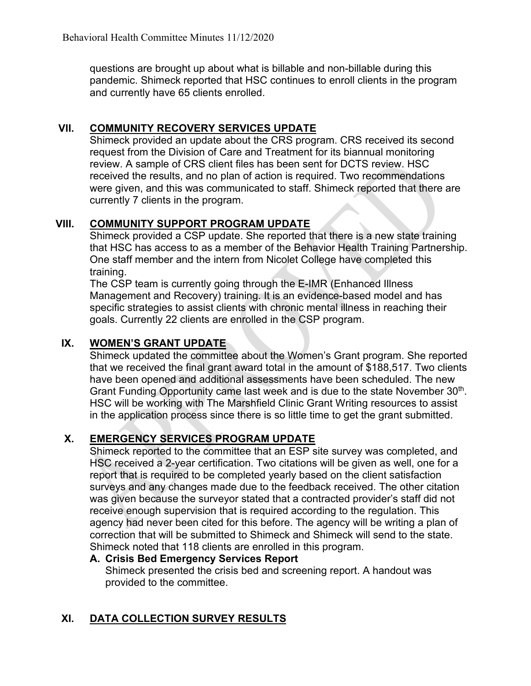questions are brought up about what is billable and non-billable during this pandemic. Shimeck reported that HSC continues to enroll clients in the program and currently have 65 clients enrolled.

# **VII. COMMUNITY RECOVERY SERVICES UPDATE**

Shimeck provided an update about the CRS program. CRS received its second request from the Division of Care and Treatment for its biannual monitoring review. A sample of CRS client files has been sent for DCTS review. HSC received the results, and no plan of action is required. Two recommendations were given, and this was communicated to staff. Shimeck reported that there are currently 7 clients in the program.

# **VIII. COMMUNITY SUPPORT PROGRAM UPDATE**

Shimeck provided a CSP update. She reported that there is a new state training that HSC has access to as a member of the Behavior Health Training Partnership. One staff member and the intern from Nicolet College have completed this training.

The CSP team is currently going through the E-IMR (Enhanced Illness Management and Recovery) training. It is an evidence-based model and has specific strategies to assist clients with chronic mental illness in reaching their goals. Currently 22 clients are enrolled in the CSP program.

# **IX. WOMEN'S GRANT UPDATE**

Shimeck updated the committee about the Women's Grant program. She reported that we received the final grant award total in the amount of \$188,517. Two clients have been opened and additional assessments have been scheduled. The new Grant Funding Opportunity came last week and is due to the state November 30<sup>th</sup>. HSC will be working with The Marshfield Clinic Grant Writing resources to assist in the application process since there is so little time to get the grant submitted.

# **X. EMERGENCY SERVICES PROGRAM UPDATE**

Shimeck reported to the committee that an ESP site survey was completed, and HSC received a 2-year certification. Two citations will be given as well, one for a report that is required to be completed yearly based on the client satisfaction surveys and any changes made due to the feedback received. The other citation was given because the surveyor stated that a contracted provider's staff did not receive enough supervision that is required according to the regulation. This agency had never been cited for this before. The agency will be writing a plan of correction that will be submitted to Shimeck and Shimeck will send to the state. Shimeck noted that 118 clients are enrolled in this program.

#### **A. Crisis Bed Emergency Services Report**

Shimeck presented the crisis bed and screening report. A handout was provided to the committee.

# **XI. DATA COLLECTION SURVEY RESULTS**